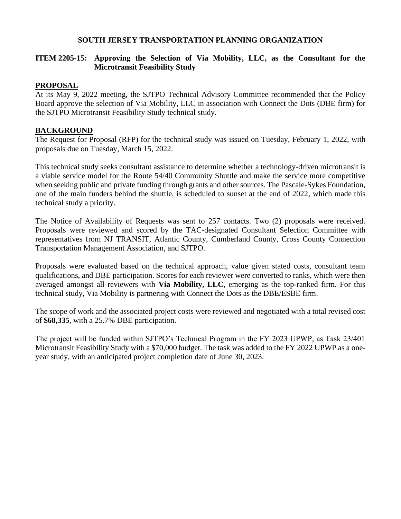#### **SOUTH JERSEY TRANSPORTATION PLANNING ORGANIZATION**

#### **ITEM 2205-15: Approving the Selection of Via Mobility, LLC, as the Consultant for the Microtransit Feasibility Study**

#### **PROPOSAL**

At its May 9, 2022 meeting, the SJTPO Technical Advisory Committee recommended that the Policy Board approve the selection of Via Mobility, LLC in association with Connect the Dots (DBE firm) for the SJTPO Microtransit Feasibility Study technical study.

#### **BACKGROUND**

The Request for Proposal (RFP) for the technical study was issued on Tuesday, February 1, 2022, with proposals due on Tuesday, March 15, 2022.

This technical study seeks consultant assistance to determine whether a technology-driven microtransit is a viable service model for the Route 54/40 Community Shuttle and make the service more competitive when seeking public and private funding through grants and other sources. The Pascale-Sykes Foundation, one of the main funders behind the shuttle, is scheduled to sunset at the end of 2022, which made this technical study a priority.

The Notice of Availability of Requests was sent to 257 contacts. Two (2) proposals were received. Proposals were reviewed and scored by the TAC-designated Consultant Selection Committee with representatives from NJ TRANSIT, Atlantic County, Cumberland County, Cross County Connection Transportation Management Association, and SJTPO.

Proposals were evaluated based on the technical approach, value given stated costs, consultant team qualifications, and DBE participation. Scores for each reviewer were converted to ranks, which were then averaged amongst all reviewers with **Via Mobility, LLC**, emerging as the top-ranked firm. For this technical study, Via Mobility is partnering with Connect the Dots as the DBE/ESBE firm.

The scope of work and the associated project costs were reviewed and negotiated with a total revised cost of **\$68,335**, with a 25.7% DBE participation.

The project will be funded within SJTPO's Technical Program in the FY 2023 UPWP, as Task 23/401 Microtransit Feasibility Study with a \$70,000 budget. The task was added to the FY 2022 UPWP as a oneyear study, with an anticipated project completion date of June 30, 2023.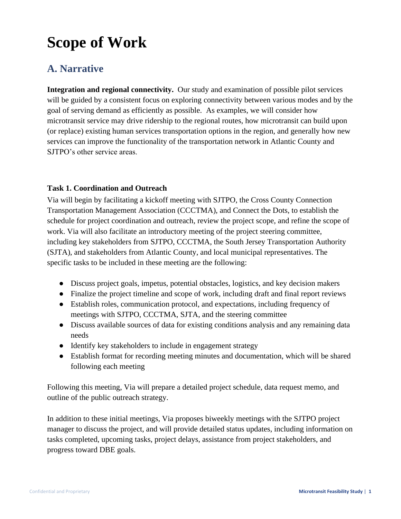# **Scope of Work**

# **A. Narrative**

**Integration and regional connectivity.** Our study and examination of possible pilot services will be guided by a consistent focus on exploring connectivity between various modes and by the goal of serving demand as efficiently as possible. As examples, we will consider how microtransit service may drive ridership to the regional routes, how microtransit can build upon (or replace) existing human services transportation options in the region, and generally how new services can improve the functionality of the transportation network in Atlantic County and SJTPO's other service areas.

#### **Task 1. Coordination and Outreach**

Via will begin by facilitating a kickoff meeting with SJTPO, the Cross County Connection Transportation Management Association (CCCTMA), and Connect the Dots, to establish the schedule for project coordination and outreach, review the project scope, and refine the scope of work. Via will also facilitate an introductory meeting of the project steering committee, including key stakeholders from SJTPO, CCCTMA, the South Jersey Transportation Authority (SJTA), and stakeholders from Atlantic County, and local municipal representatives. The specific tasks to be included in these meeting are the following:

- Discuss project goals, impetus, potential obstacles, logistics, and key decision makers
- Finalize the project timeline and scope of work, including draft and final report reviews
- Establish roles, communication protocol, and expectations, including frequency of meetings with SJTPO, CCCTMA, SJTA, and the steering committee
- Discuss available sources of data for existing conditions analysis and any remaining data needs
- Identify key stakeholders to include in engagement strategy
- Establish format for recording meeting minutes and documentation, which will be shared following each meeting

Following this meeting, Via will prepare a detailed project schedule, data request memo, and outline of the public outreach strategy.

In addition to these initial meetings, Via proposes biweekly meetings with the SJTPO project manager to discuss the project, and will provide detailed status updates, including information on tasks completed, upcoming tasks, project delays, assistance from project stakeholders, and progress toward DBE goals.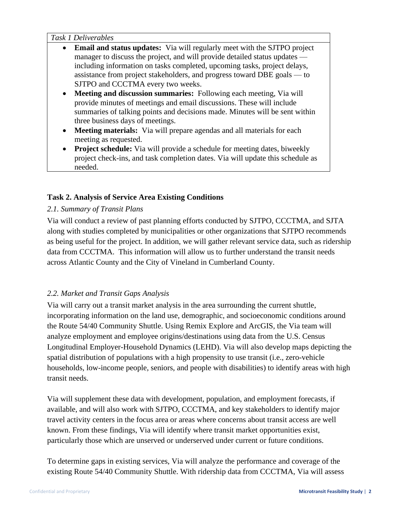*Task 1 Deliverables*

- **Email and status updates:** Via will regularly meet with the SJTPO project manager to discuss the project, and will provide detailed status updates including information on tasks completed, upcoming tasks, project delays, assistance from project stakeholders, and progress toward DBE goals — to SJTPO and CCCTMA every two weeks.
- **Meeting and discussion summaries:** Following each meeting, Via will provide minutes of meetings and email discussions. These will include summaries of talking points and decisions made. Minutes will be sent within three business days of meetings.
- **Meeting materials:** Via will prepare agendas and all materials for each meeting as requested.
- **Project schedule:** Via will provide a schedule for meeting dates, biweekly project check-ins, and task completion dates. Via will update this schedule as needed.

# **Task 2. Analysis of Service Area Existing Conditions**

# *2.1. Summary of Transit Plans*

Via will conduct a review of past planning efforts conducted by SJTPO, CCCTMA, and SJTA along with studies completed by municipalities or other organizations that SJTPO recommends as being useful for the project. In addition, we will gather relevant service data, such as ridership data from CCCTMA. This information will allow us to further understand the transit needs across Atlantic County and the City of Vineland in Cumberland County.

# *2.2. Market and Transit Gaps Analysis*

Via will carry out a transit market analysis in the area surrounding the current shuttle, incorporating information on the land use, demographic, and socioeconomic conditions around the Route 54/40 Community Shuttle. Using Remix Explore and ArcGIS, the Via team will analyze employment and employee origins/destinations using data from the U.S. Census Longitudinal Employer-Household Dynamics (LEHD). Via will also develop maps depicting the spatial distribution of populations with a high propensity to use transit (i.e., zero-vehicle households, low-income people, seniors, and people with disabilities) to identify areas with high transit needs.

Via will supplement these data with development, population, and employment forecasts, if available, and will also work with SJTPO, CCCTMA, and key stakeholders to identify major travel activity centers in the focus area or areas where concerns about transit access are well known. From these findings, Via will identify where transit market opportunities exist, particularly those which are unserved or underserved under current or future conditions.

To determine gaps in existing services, Via will analyze the performance and coverage of the existing Route 54/40 Community Shuttle. With ridership data from CCCTMA, Via will assess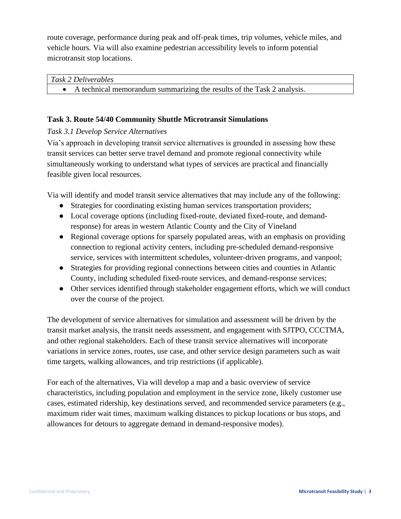route coverage, performance during peak and off-peak times, trip volumes, vehicle miles, and vehicle hours. Via will also examine pedestrian accessibility levels to inform potential microtransit stop locations.

#### *Task 2 Deliverables*

• A technical memorandum summarizing the results of the Task 2 analysis.

#### **Task 3. Route 54/40 Community Shuttle Microtransit Simulations**

#### *Task 3.1 Develop Service Alternatives*

Via's approach in developing transit service alternatives is grounded in assessing how these transit services can better serve travel demand and promote regional connectivity while simultaneously working to understand what types of services are practical and financially feasible given local resources.

Via will identify and model transit service alternatives that may include any of the following:

- Strategies for coordinating existing human services transportation providers;
- Local coverage options (including fixed-route, deviated fixed-route, and demandresponse) for areas in western Atlantic County and the City of Vineland
- Regional coverage options for sparsely populated areas, with an emphasis on providing connection to regional activity centers, including pre-scheduled demand-responsive service, services with intermittent schedules, volunteer-driven programs, and vanpool;
- Strategies for providing regional connections between cities and counties in Atlantic County, including scheduled fixed-route services, and demand-response services;
- Other services identified through stakeholder engagement efforts, which we will conduct over the course of the project.

The development of service alternatives for simulation and assessment will be driven by the transit market analysis, the transit needs assessment, and engagement with SJTPO, CCCTMA, and other regional stakeholders. Each of these transit service alternatives will incorporate variations in service zones, routes, use case, and other service design parameters such as wait time targets, walking allowances, and trip restrictions (if applicable).

For each of the alternatives, Via will develop a map and a basic overview of service characteristics, including population and employment in the service zone, likely customer use cases, estimated ridership, key destinations served, and recommended service parameters (e.g., maximum rider wait times, maximum walking distances to pickup locations or bus stops, and allowances for detours to aggregate demand in demand-responsive modes).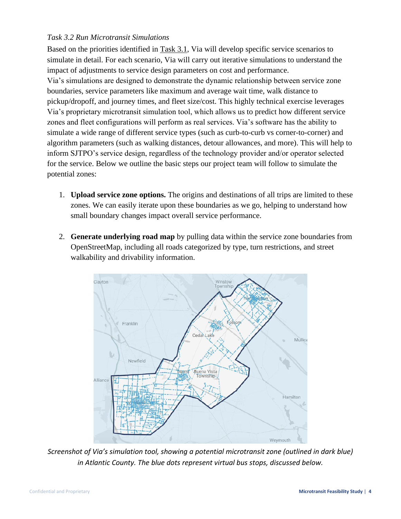# *Task 3.2 Run Microtransit Simulations*

Based on the priorities identified in Task 3.1, Via will develop specific service scenarios to simulate in detail. For each scenario, Via will carry out iterative simulations to understand the impact of adjustments to service design parameters on cost and performance. Via's simulations are designed to demonstrate the dynamic relationship between service zone boundaries, service parameters like maximum and average wait time, walk distance to pickup/dropoff, and journey times, and fleet size/cost. This highly technical exercise leverages Via's proprietary microtransit simulation tool, which allows us to predict how different service zones and fleet configurations will perform as real services. Via's software has the ability to simulate a wide range of different service types (such as curb-to-curb vs corner-to-corner) and algorithm parameters (such as walking distances, detour allowances, and more). This will help to inform SJTPO's service design, regardless of the technology provider and/or operator selected for the service. Below we outline the basic steps our project team will follow to simulate the potential zones:

- 1. **Upload service zone options.** The origins and destinations of all trips are limited to these zones. We can easily iterate upon these boundaries as we go, helping to understand how small boundary changes impact overall service performance.
- 2. **Generate underlying road map** by pulling data within the service zone boundaries from OpenStreetMap, including all roads categorized by type, turn restrictions, and street walkability and drivability information.



*Screenshot of Via's simulation tool, showing a potential microtransit zone (outlined in dark blue) in Atlantic County. The blue dots represent virtual bus stops, discussed below.*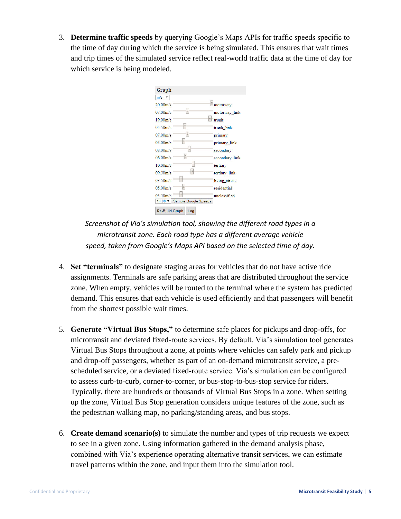3. **Determine traffic speeds** by querying Google's Maps APIs for traffic speeds specific to the time of day during which the service is being simulated. This ensures that wait times and trip times of the simulated service reflect real-world traffic data at the time of day for which service is being modeled.



*Screenshot of Via's simulation tool, showing the different road types in a microtransit zone. Each road type has a different average vehicle speed, taken from Google's Maps API based on the selected time of day.*

- 4. **Set "terminals"** to designate staging areas for vehicles that do not have active ride assignments. Terminals are safe parking areas that are distributed throughout the service zone. When empty, vehicles will be routed to the terminal where the system has predicted demand. This ensures that each vehicle is used efficiently and that passengers will benefit from the shortest possible wait times.
- 5. **Generate "Virtual Bus Stops,"** to determine safe places for pickups and drop-offs, for microtransit and deviated fixed-route services. By default, Via's simulation tool generates Virtual Bus Stops throughout a zone, at points where vehicles can safely park and pickup and drop-off passengers, whether as part of an on-demand microtransit service, a prescheduled service, or a deviated fixed-route service. Via's simulation can be configured to assess curb-to-curb, corner-to-corner, or bus-stop-to-bus-stop service for riders. Typically, there are hundreds or thousands of Virtual Bus Stops in a zone. When setting up the zone, Virtual Bus Stop generation considers unique features of the zone, such as the pedestrian walking map, no parking/standing areas, and bus stops.
- 6. **Create demand scenario(s)** to simulate the number and types of trip requests we expect to see in a given zone. Using information gathered in the demand analysis phase, combined with Via's experience operating alternative transit services, we can estimate travel patterns within the zone, and input them into the simulation tool.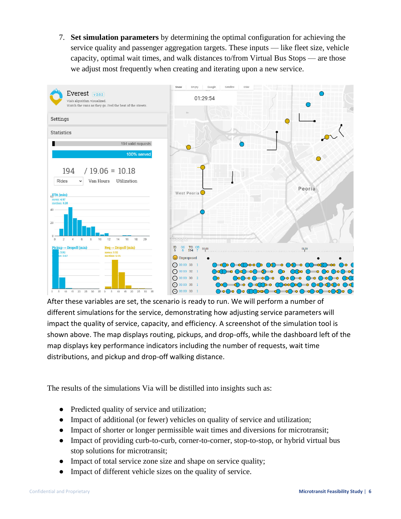7. **Set simulation parameters** by determining the optimal configuration for achieving the service quality and passenger aggregation targets. These inputs — like fleet size, vehicle capacity, optimal wait times, and walk distances to/from Virtual Bus Stops — are those we adjust most frequently when creating and iterating upon a new service.



After these variables are set, the scenario is ready to run. We will perform a number of different simulations for the service, demonstrating how adjusting service parameters will impact the quality of service, capacity, and efficiency. A screenshot of the simulation tool is shown above. The map displays routing, pickups, and drop-offs, while the dashboard left of the map displays key performance indicators including the number of requests, wait time distributions, and pickup and drop-off walking distance.

The results of the simulations Via will be distilled into insights such as:

- Predicted quality of service and utilization;
- Impact of additional (or fewer) vehicles on quality of service and utilization;
- Impact of shorter or longer permissible wait times and diversions for microtransit;
- Impact of providing curb-to-curb, corner-to-corner, stop-to-stop, or hybrid virtual bus stop solutions for microtransit;
- Impact of total service zone size and shape on service quality;
- Impact of different vehicle sizes on the quality of service.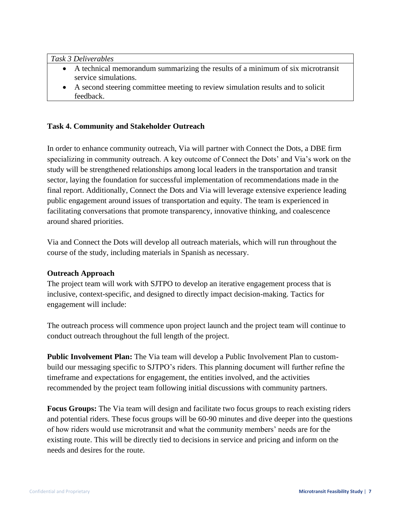*Task 3 Deliverables*

- A technical memorandum summarizing the results of a minimum of six microtransit service simulations.
- A second steering committee meeting to review simulation results and to solicit feedback.

#### **Task 4. Community and Stakeholder Outreach**

In order to enhance community outreach, Via will partner with Connect the Dots, a DBE firm specializing in community outreach. A key outcome of Connect the Dots' and Via's work on the study will be strengthened relationships among local leaders in the transportation and transit sector, laying the foundation for successful implementation of recommendations made in the final report. Additionally, Connect the Dots and Via will leverage extensive experience leading public engagement around issues of transportation and equity. The team is experienced in facilitating conversations that promote transparency, innovative thinking, and coalescence around shared priorities.

Via and Connect the Dots will develop all outreach materials, which will run throughout the course of the study, including materials in Spanish as necessary.

#### **Outreach Approach**

The project team will work with SJTPO to develop an iterative engagement process that is inclusive, context-specific, and designed to directly impact decision-making. Tactics for engagement will include:

The outreach process will commence upon project launch and the project team will continue to conduct outreach throughout the full length of the project.

**Public Involvement Plan:** The Via team will develop a Public Involvement Plan to custombuild our messaging specific to SJTPO's riders. This planning document will further refine the timeframe and expectations for engagement, the entities involved, and the activities recommended by the project team following initial discussions with community partners.

**Focus Groups:** The Via team will design and facilitate two focus groups to reach existing riders and potential riders. These focus groups will be 60-90 minutes and dive deeper into the questions of how riders would use microtransit and what the community members' needs are for the existing route. This will be directly tied to decisions in service and pricing and inform on the needs and desires for the route.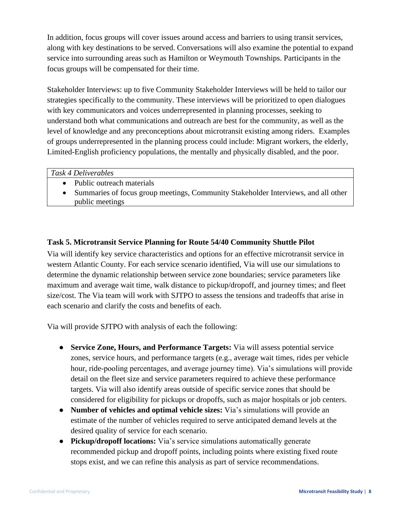In addition, focus groups will cover issues around access and barriers to using transit services, along with key destinations to be served. Conversations will also examine the potential to expand service into surrounding areas such as Hamilton or Weymouth Townships. Participants in the focus groups will be compensated for their time.

Stakeholder Interviews: up to five Community Stakeholder Interviews will be held to tailor our strategies specifically to the community. These interviews will be prioritized to open dialogues with key communicators and voices underrepresented in planning processes, seeking to understand both what communications and outreach are best for the community, as well as the level of knowledge and any preconceptions about microtransit existing among riders. Examples of groups underrepresented in the planning process could include: Migrant workers, the elderly, Limited-English proficiency populations, the mentally and physically disabled, and the poor.

*Task 4 Deliverables*

- Public outreach materials
- Summaries of focus group meetings, Community Stakeholder Interviews, and all other public meetings

#### **Task 5. Microtransit Service Planning for Route 54/40 Community Shuttle Pilot**

Via will identify key service characteristics and options for an effective microtransit service in western Atlantic County. For each service scenario identified, Via will use our simulations to determine the dynamic relationship between service zone boundaries; service parameters like maximum and average wait time, walk distance to pickup/dropoff, and journey times; and fleet size/cost. The Via team will work with SJTPO to assess the tensions and tradeoffs that arise in each scenario and clarify the costs and benefits of each.

Via will provide SJTPO with analysis of each the following:

- **Service Zone, Hours, and Performance Targets:** Via will assess potential service zones, service hours, and performance targets (e.g., average wait times, rides per vehicle hour, ride-pooling percentages, and average journey time). Via's simulations will provide detail on the fleet size and service parameters required to achieve these performance targets. Via will also identify areas outside of specific service zones that should be considered for eligibility for pickups or dropoffs, such as major hospitals or job centers.
- **Number of vehicles and optimal vehicle sizes:** Via's simulations will provide an estimate of the number of vehicles required to serve anticipated demand levels at the desired quality of service for each scenario.
- **Pickup/dropoff locations:** Via's service simulations automatically generate recommended pickup and dropoff points, including points where existing fixed route stops exist, and we can refine this analysis as part of service recommendations.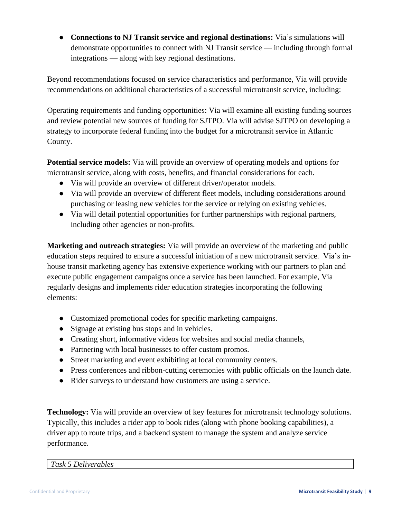● **Connections to NJ Transit service and regional destinations:** Via's simulations will demonstrate opportunities to connect with NJ Transit service — including through formal integrations — along with key regional destinations.

Beyond recommendations focused on service characteristics and performance, Via will provide recommendations on additional characteristics of a successful microtransit service, including:

Operating requirements and funding opportunities: Via will examine all existing funding sources and review potential new sources of funding for SJTPO. Via will advise SJTPO on developing a strategy to incorporate federal funding into the budget for a microtransit service in Atlantic County.

**Potential service models:** Via will provide an overview of operating models and options for microtransit service, along with costs, benefits, and financial considerations for each.

- Via will provide an overview of different driver/operator models.
- Via will provide an overview of different fleet models, including considerations around purchasing or leasing new vehicles for the service or relying on existing vehicles.
- Via will detail potential opportunities for further partnerships with regional partners, including other agencies or non-profits.

**Marketing and outreach strategies:** Via will provide an overview of the marketing and public education steps required to ensure a successful initiation of a new microtransit service. Via's inhouse transit marketing agency has extensive experience working with our partners to plan and execute public engagement campaigns once a service has been launched. For example, Via regularly designs and implements rider education strategies incorporating the following elements:

- Customized promotional codes for specific marketing campaigns.
- Signage at existing bus stops and in vehicles.
- Creating short, informative videos for websites and social media channels,
- Partnering with local businesses to offer custom promos.
- Street marketing and event exhibiting at local community centers.
- Press conferences and ribbon-cutting ceremonies with public officials on the launch date.
- Rider surveys to understand how customers are using a service.

**Technology:** Via will provide an overview of key features for microtransit technology solutions. Typically, this includes a rider app to book rides (along with phone booking capabilities), a driver app to route trips, and a backend system to manage the system and analyze service performance.

*Task 5 Deliverables*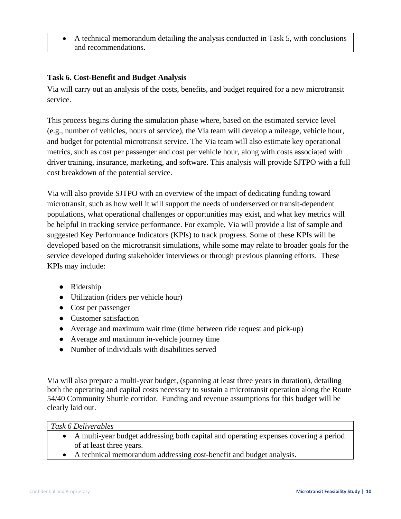• A technical memorandum detailing the analysis conducted in Task 5, with conclusions and recommendations.

#### **Task 6. Cost-Benefit and Budget Analysis**

Via will carry out an analysis of the costs, benefits, and budget required for a new microtransit service.

This process begins during the simulation phase where, based on the estimated service level (e.g., number of vehicles, hours of service), the Via team will develop a mileage, vehicle hour, and budget for potential microtransit service. The Via team will also estimate key operational metrics, such as cost per passenger and cost per vehicle hour, along with costs associated with driver training, insurance, marketing, and software. This analysis will provide SJTPO with a full cost breakdown of the potential service.

Via will also provide SJTPO with an overview of the impact of dedicating funding toward microtransit, such as how well it will support the needs of underserved or transit-dependent populations, what operational challenges or opportunities may exist, and what key metrics will be helpful in tracking service performance. For example, Via will provide a list of sample and suggested Key Performance Indicators (KPIs) to track progress. Some of these KPIs will be developed based on the microtransit simulations, while some may relate to broader goals for the service developed during stakeholder interviews or through previous planning efforts. These KPIs may include:

- Ridership
- Utilization (riders per vehicle hour)
- Cost per passenger
- Customer satisfaction
- Average and maximum wait time (time between ride request and pick-up)
- Average and maximum in-vehicle journey time
- Number of individuals with disabilities served

Via will also prepare a multi-year budget, (spanning at least three years in duration), detailing both the operating and capital costs necessary to sustain a microtransit operation along the Route 54/40 Community Shuttle corridor. Funding and revenue assumptions for this budget will be clearly laid out.

#### *Task 6 Deliverables*

- A multi-year budget addressing both capital and operating expenses covering a period of at least three years.
- A technical memorandum addressing cost-benefit and budget analysis.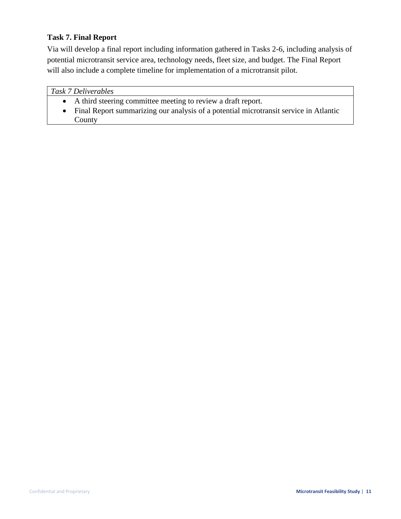# **Task 7. Final Report**

Via will develop a final report including information gathered in Tasks 2-6, including analysis of potential microtransit service area, technology needs, fleet size, and budget. The Final Report will also include a complete timeline for implementation of a microtransit pilot.

- A third steering committee meeting to review a draft report.
- Final Report summarizing our analysis of a potential microtransit service in Atlantic County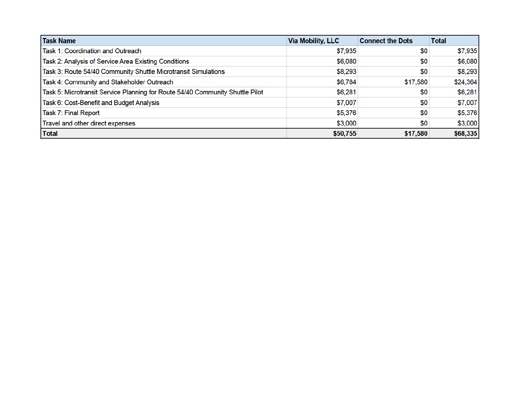| <b>Task Name</b>                                                              | <b>Via Mobility, LLC</b> | <b>Connect the Dots</b> | <b>Total</b> |
|-------------------------------------------------------------------------------|--------------------------|-------------------------|--------------|
| Task 1: Coordination and Outreach                                             | \$7,935                  | \$0                     | \$7,935      |
| Task 2: Analysis of Service Area Existing Conditions                          | \$6,080                  | \$0                     | \$6,080      |
| Task 3: Route 54/40 Community Shuttle Microtransit Simulations                | \$8,293                  | \$0                     | \$8,293      |
| Task 4: Community and Stakeholder Outreach                                    | \$6,784                  | \$17,580                | \$24,364     |
| Task 5: Microtransit Service Planning for Route 54/40 Community Shuttle Pilot | \$6,281                  | \$0                     | \$6,281      |
| Task 6: Cost-Benefit and Budget Analysis                                      | \$7,007                  | \$0                     | \$7,007      |
| Task 7: Final Report                                                          | \$5,376                  | \$0                     | \$5,376      |
| Travel and other direct expenses                                              | \$3,000                  | \$0                     | \$3,000      |
| <b>Total</b>                                                                  | \$50,755                 | \$17,580                | \$68,335     |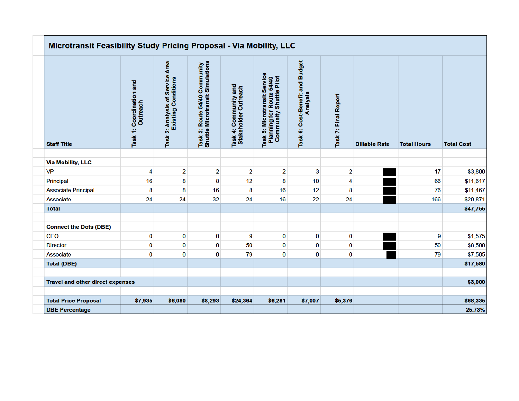| Microtransit Feasibility Study Pricing Proposal - Via Mobility, LLC |                                             |                                                                       |                                                                   |                                               |                                                                                     |                                             |                      |                      |                    |                   |  |
|---------------------------------------------------------------------|---------------------------------------------|-----------------------------------------------------------------------|-------------------------------------------------------------------|-----------------------------------------------|-------------------------------------------------------------------------------------|---------------------------------------------|----------------------|----------------------|--------------------|-------------------|--|
| <b>Staff Title</b>                                                  | Task 1: Coordination and<br><b>Outreach</b> | of Service Area<br>Task 2: Analysis of Service<br>Existing Conditions | Task 3: Route 54/40 Community<br>Shuttle Microtransit Simulations | Task 4: Community and<br>Stakeholder Outreach | Task 5: Microtransit Service<br>Planning for Route 54/40<br>Community Shuttle Pilot | Task 6: Cost-Benefit and Budget<br>Analysis | Task 7: Final Report | <b>Billable Rate</b> | <b>Total Hours</b> | <b>Total Cost</b> |  |
|                                                                     |                                             |                                                                       |                                                                   |                                               |                                                                                     |                                             |                      |                      |                    |                   |  |
| <b>Via Mobility, LLC</b>                                            |                                             |                                                                       |                                                                   |                                               |                                                                                     |                                             |                      |                      |                    |                   |  |
| <b>VP</b>                                                           | 4                                           | $\overline{2}$                                                        | $\overline{2}$                                                    | 2                                             | $\overline{2}$                                                                      | 3                                           | 2                    |                      | 17                 | \$3,800           |  |
| Principal                                                           | 16                                          | 8                                                                     | 8                                                                 | 12                                            | 8                                                                                   | 10                                          | 4                    |                      | 66                 | \$11,617          |  |
| <b>Associate Principal</b>                                          | 8                                           | 8                                                                     | 16                                                                | 8                                             | 16                                                                                  | 12                                          | 8                    |                      | 76                 | \$11,467          |  |
| <b>Associate</b>                                                    | 24                                          | 24                                                                    | 32                                                                | 24                                            | 16                                                                                  | 22                                          | 24                   |                      | 166                | \$20,871          |  |
| <b>Total</b>                                                        |                                             |                                                                       |                                                                   |                                               |                                                                                     |                                             |                      |                      |                    | \$47,755          |  |
|                                                                     |                                             |                                                                       |                                                                   |                                               |                                                                                     |                                             |                      |                      |                    |                   |  |
| <b>Connect the Dots (DBE)</b>                                       |                                             |                                                                       |                                                                   |                                               |                                                                                     |                                             |                      |                      |                    |                   |  |
| <b>CEO</b>                                                          | 0                                           | 0                                                                     | 0                                                                 | 9                                             | 0                                                                                   | 0                                           | 0                    |                      | 9                  | \$1,575           |  |
| <b>Director</b>                                                     | 0                                           | 0                                                                     | 0                                                                 | 50                                            | 0                                                                                   | 0                                           | 0                    |                      | 50                 | \$8,500           |  |
| <b>Associate</b>                                                    | 0                                           | $\bf{0}$                                                              | 0                                                                 | 79                                            | 0                                                                                   | $\bf{0}$                                    | $\bf{0}$             |                      | 79                 | \$7,505           |  |
| <b>Total (DBE)</b>                                                  |                                             |                                                                       |                                                                   |                                               |                                                                                     |                                             |                      |                      |                    | \$17,580          |  |
|                                                                     |                                             |                                                                       |                                                                   |                                               |                                                                                     |                                             |                      |                      |                    |                   |  |
| Travel and other direct expenses                                    |                                             |                                                                       |                                                                   |                                               |                                                                                     |                                             |                      |                      |                    | \$3,000           |  |
|                                                                     |                                             |                                                                       |                                                                   |                                               |                                                                                     |                                             |                      |                      |                    |                   |  |
| <b>Total Price Proposal</b>                                         | \$7,935                                     | \$6,080                                                               | \$8,293                                                           | \$24,364                                      | \$6,281                                                                             | \$7,007                                     | \$5,376              |                      |                    | \$68,335          |  |
| <b>DBE Percentage</b>                                               |                                             |                                                                       |                                                                   |                                               |                                                                                     |                                             |                      |                      |                    | 25.73%            |  |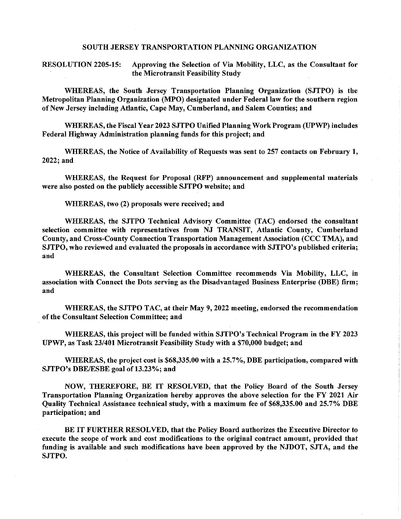#### SOUTH JERSEY TRANSPORTATION PLANNING ORGANIZATION

**RESOLUTION 2205-15:** Approving the Selection of Via Mobility, LLC, as the Consultant for the Microtransit Feasibility Study

WHEREAS, the South Jersey Transportation Planning Organization (SJTPO) is the Metropolitan Planning Organization (MPO) designated under Federal law for the southern region of New Jersey including Atlantic, Cape May, Cumberland, and Salem Counties; and

WHEREAS, the Fiscal Year 2023 SJTPO Unified Planning Work Program (UPWP) includes Federal Highway Administration planning funds for this project; and

WHEREAS, the Notice of Availability of Requests was sent to 257 contacts on February 1, 2022: and

WHEREAS, the Request for Proposal (RFP) announcement and supplemental materials were also posted on the publicly accessible SJTPO website; and

WHEREAS, two (2) proposals were received; and

WHEREAS, the SJTPO Technical Advisory Committee (TAC) endorsed the consultant selection committee with representatives from NJ TRANSIT, Atlantic County, Cumberland County, and Cross-County Connection Transportation Management Association (CCC TMA), and SJTPO, who reviewed and evaluated the proposals in accordance with SJTPO's published criteria; and

WHEREAS, the Consultant Selection Committee recommends Via Mobility, LLC, in association with Connect the Dots serving as the Disadvantaged Business Enterprise (DBE) firm; and

WHEREAS, the SJTPO TAC, at their May 9, 2022 meeting, endorsed the recommendation of the Consultant Selection Committee; and

WHEREAS, this project will be funded within SJTPO's Technical Program in the FY 2023 UPWP, as Task 23/401 Microtransit Feasibility Study with a \$70,000 budget; and

WHEREAS, the project cost is \$68,335.00 with a 25.7%, DBE participation, compared with SJTPO's DBE/ESBE goal of 13.23%; and

NOW, THEREFORE, BE IT RESOLVED, that the Policy Board of the South Jersey Transportation Planning Organization hereby approves the above selection for the FY 2021 Air Quality Technical Assistance technical study, with a maximum fee of \$68,335.00 and 25.7% DBE participation; and

BE IT FURTHER RESOLVED, that the Policy Board authorizes the Executive Director to execute the scope of work and cost modifications to the original contract amount, provided that funding is available and such modifications have been approved by the NJDOT, SJTA, and the SJTPO.